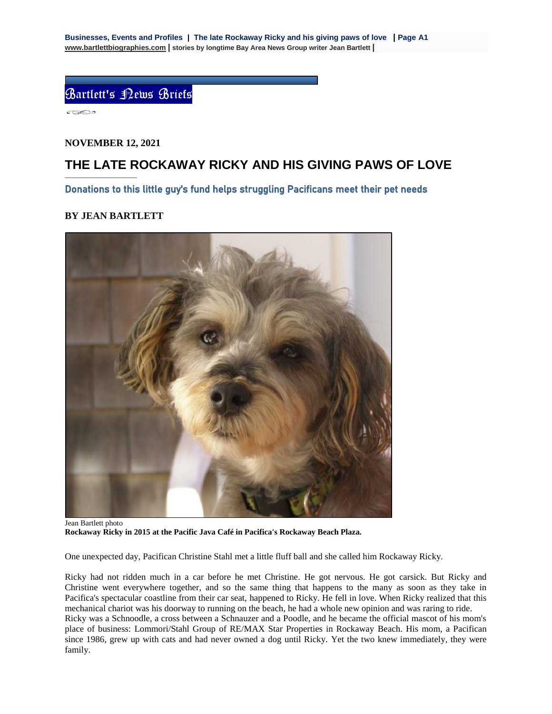Bartlett's News Briefs

 $\circ \infty$ 

## **NOVEMBER 12, 2021**

————————

## **THE LATE ROCKAWAY RICKY AND HIS GIVING PAWS OF LOVE**

Donations to this little guy's fund helps struggling Pacificans meet their pet needs

## **BY JEAN BARTLETT**



Jean Bartlett photo **Rockaway Ricky in 2015 at the Pacific Java Café in Pacifica's Rockaway Beach Plaza.** 

One unexpected day, Pacifican Christine Stahl met a little fluff ball and she called him Rockaway Ricky.

Ricky had not ridden much in a car before he met Christine. He got nervous. He got carsick. But Ricky and Christine went everywhere together, and so the same thing that happens to the many as soon as they take in Pacifica's spectacular coastline from their car seat, happened to Ricky. He fell in love. When Ricky realized that this mechanical chariot was his doorway to running on the beach, he had a whole new opinion and was raring to ride. Ricky was a Schnoodle, a cross between a Schnauzer and a Poodle, and he became the official mascot of his mom's place of business: Lommori/Stahl Group of RE/MAX Star Properties in Rockaway Beach. His mom, a Pacifican since 1986, grew up with cats and had never owned a dog until Ricky. Yet the two knew immediately, they were family.